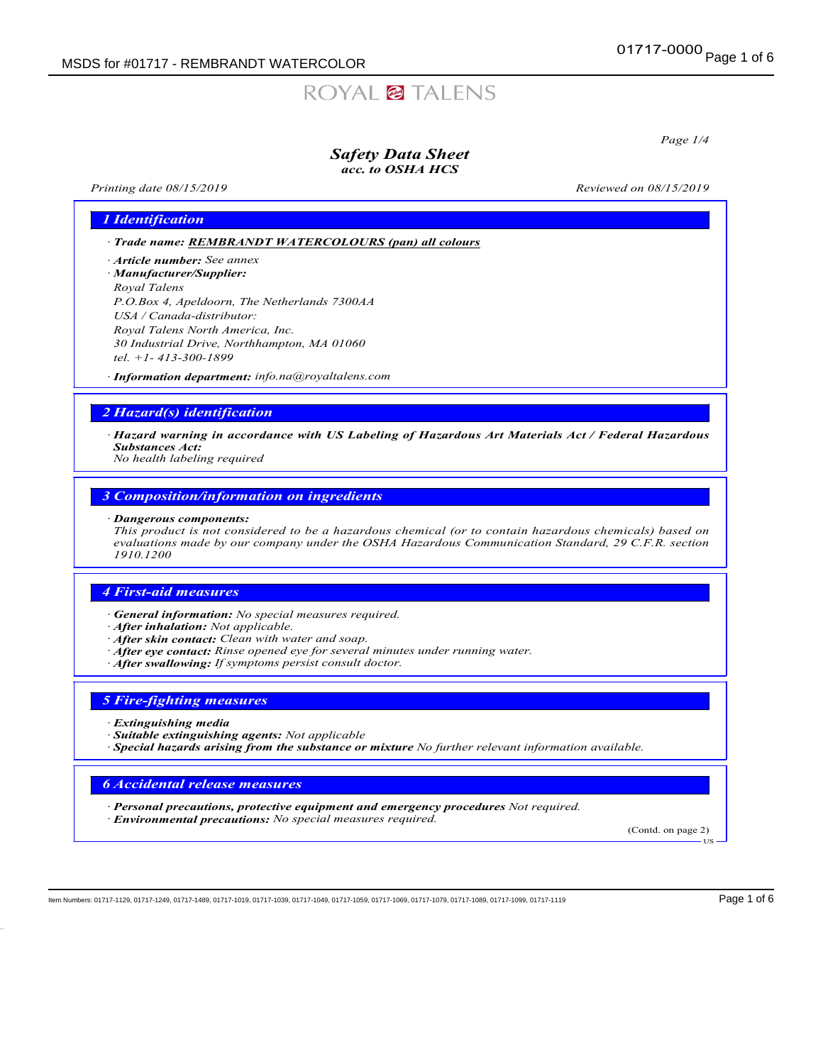# ROYAL<sup>2</sup> TALENS

Page 1/4

### Safety Data Sheet acc. to OSHA HCS

Printing date  $08/15/2019$  Reviewed on  $08/15/2019$ 

### 1 Identification

· Trade name: REMBRANDT WATERCOLOURS (pan) all colours

- · Article number: *See annex* · Manufacturer/Supplier:
- Royal Talens P.O.Box 4, Apeldoorn, The Netherlands 7300AA USA / Canada-distributor: Royal Talens North America, Inc. 30 Industrial Drive, Northhampton, MA 01060 tel. +1- 413-300-1899

· Information department: info.na@royaltalens.com

### 2 Hazard(s) identification

· Hazard warning in accordance with US Labeling of Hazardous Art Materials Act / Federal Hazardous Substances Act:

No health labeling required

### 3 Composition/information on ingredients

### · Dangerous components:

This product is not considered to be a hazardous chemical (or to contain hazardous chemicals) based on evaluations made by our company under the OSHA Hazardous Communication Standard, 29 C.F.R. section 1910.1200

### 4 First-aid measures

- · General information: No special measures required.
- · After inhalation: Not applicable.
- · After skin contact: Clean with water and soap.
- · After eye contact: Rinse opened eye for several minutes under running water.
- · After swallowing: If symptoms persist consult doctor.

### 5 Fire-fighting measures

- **Extinguishing media**
- · Suitable extinguishing agents: Not applicable
- $\cdot$  Special hazards arising from the substance or mixture No further relevant information available.

### 6 Accidental release measures

· Personal precautions, protective equipment and emergency procedures Not required. · Environmental precautions: No special measures required.

(Contd. on page 2)

US

Item Numbers: 01717-1129, 01717-1249, 01717-1489, 01717-1019, 01717-1039, 01717-1049, 01717-1059, 01717-1069, 01717-1079, 01717-1089, 01717-1099, 01717-1099, 01717-1119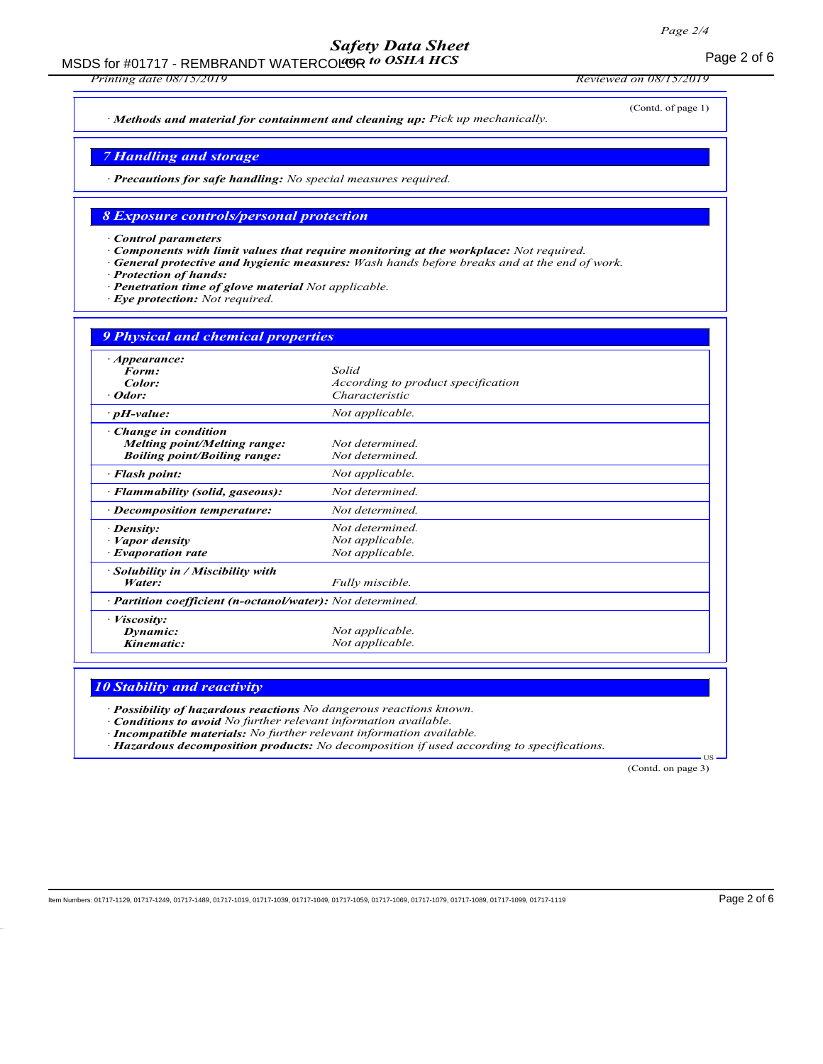## Safety Data Sheet

MSDS for #01717 - REMBRANDT WATERCOLOR to OSHA HCS The CONSTRUCTION of 6

Printing date 08/15/2019 Reviewed on 08/15/2019

(Contd. of page 1)

· Methods and material for containment and cleaning up: Pick up mechanically.

### 7 Handling and storage

· Precautions for safe handling: No special measures required.

### 8 Exposure controls/personal protection

· Control parameters

- Components with limit values that require monitoring at the workplace: Not required.
- General protective and hygienic measures: Wash hands before breaks and at the end of work.

Protection of hands:

- Penetration time of glove material Not applicable.
- · Eye protection: Not required.

| <b>9 Physical and chemical properties</b>                                                         |                                                               |  |
|---------------------------------------------------------------------------------------------------|---------------------------------------------------------------|--|
| $\cdot$ Appearance:<br>Form:<br>Color:<br>· Odor:                                                 | Solid<br>According to product specification<br>Characteristic |  |
| $\cdot$ pH-value:                                                                                 | Not applicable.                                               |  |
| Change in condition<br><b>Melting point/Melting range:</b><br><b>Boiling point/Boiling range:</b> | Not determined.<br>Not determined.                            |  |
| · Flash point:                                                                                    | Not applicable.                                               |  |
| · Flammability (solid, gaseous):                                                                  | Not determined.                                               |  |
| · Decomposition temperature:                                                                      | Not determined.                                               |  |
| $\cdot$ Density:<br>· Vapor density<br>· Evaporation rate                                         | Not determined.<br>Not applicable.<br>Not applicable.         |  |
| $\cdot$ Solubility in / Miscibility with<br>Water:                                                | Fully miscible.                                               |  |
| · Partition coefficient (n-octanol/water): Not determined.                                        |                                                               |  |
| · Viscosity:<br>Dynamic:<br>Kinematic:                                                            | Not applicable.<br>Not applicable.                            |  |

### **10 Stability and reactivity**

Possibility of hazardous reactions No dangerous reactions known.

· Conditions to avoid No further relevant information available.

· Incompatible materials: No further relevant information available.

· Hazardous decomposition products: No decomposition if used according to specifications.

(Contd. on page 3)

**T<sub>IS</sub>**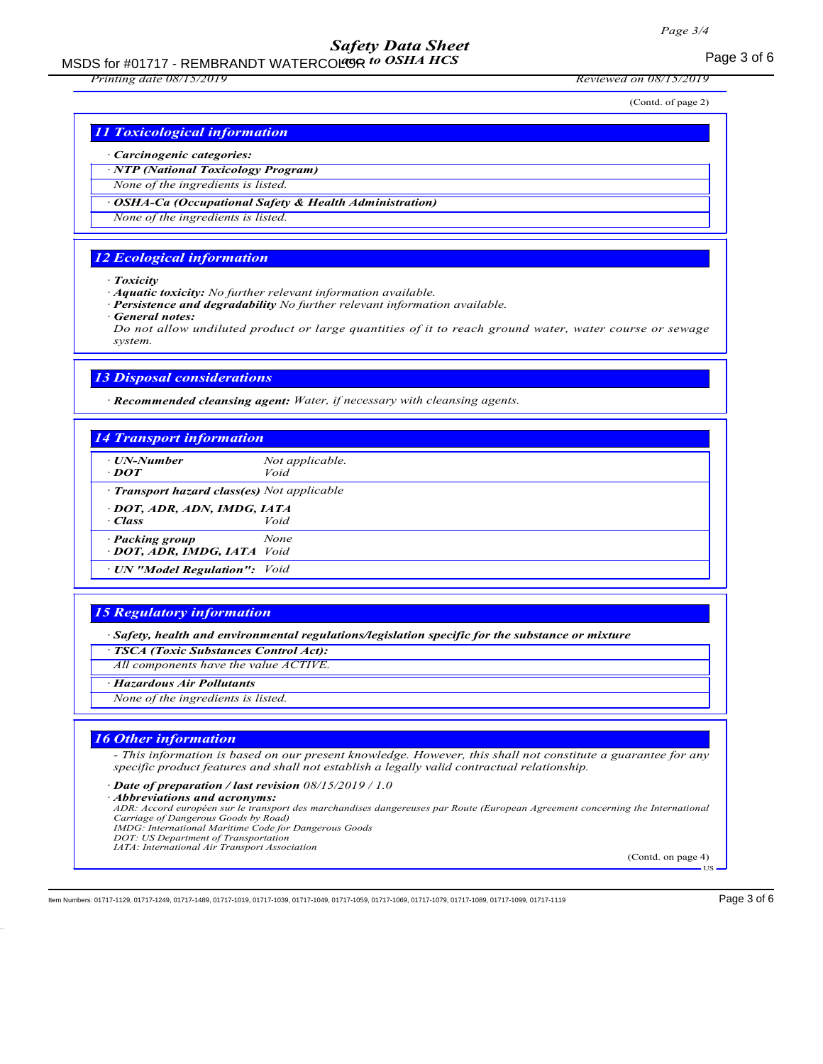### Safety Data Sheet

MSDS for #01717 - REMBRANDT WATERCOLOR to OSHA HCS MEAN CONTROLLER TO A Page 3 of 6

### Printing date 08/15/2019 Reviewed on 08/15/2019

(Contd. of page 2)

### 11 Toxicological information

#### · Carcinogenic categories:

· NTP (National Toxicology Program)

None of the ingredients is listed.

OSHA-Ca (Occupational Safety & Health Administration)

None of the ingredients is listed.

### 12 Ecological information

· Toxicity

· Aquatic toxicity: No further relevant information available.

- Persistence and degradability No further relevant information available.
- General notes:

Do not allow undiluted product or large quantities of it to reach ground water, water course or sewage system.

### 13 Disposal considerations

· Recommended cleansing agent: Water, if necessary with cleansing agents.

### 14 Transport information UN-Number Not applicable.<br> **DOT** Void  $\cdot$  DOT · Transport hazard class(es) Not applicable · DOT, ADR, ADN, IMDG, IATA · Class Void **Packing group** None · DOT, ADR, IMDG, IATA Void · UN "Model Regulation": Void

### 15 Regulatory information

· Safety, health and environmental regulations/legislation specific for the substance or mixture

· TSCA (Toxic Substances Control Act):

All components have the value ACTIVE.

· Hazardous Air Pollutants

None of the ingredients is listed.

### 16 Other information

- This information is based on our present knowledge. However, this shall not constitute a guarantee for any specific product features and shall not establish a legally valid contractual relationship.

· Date of preparation / last revision 08/15/2019 / 1.0

· Abbreviations and acronyms:

ADR: Accord européen sur le transport des marchandises dangereuses par Route (European Agreement concerning the International Carriage of Dangerous Goods by Road)

- IMDG: International Maritime Code for Dangerous Goods DOT: US Department of Transportation
- IATA: International Air Transport Association

(Contd. on page 4)

**HS** 

Item Numbers: 01717-1129, 01717-1249, 01717-1489, 01717-1019, 01717-1039, 01717-1049, 01717-1059, 01717-1069, 01717-1079, 01717-1089, 01717-1099, 01717-1099, 01717-1119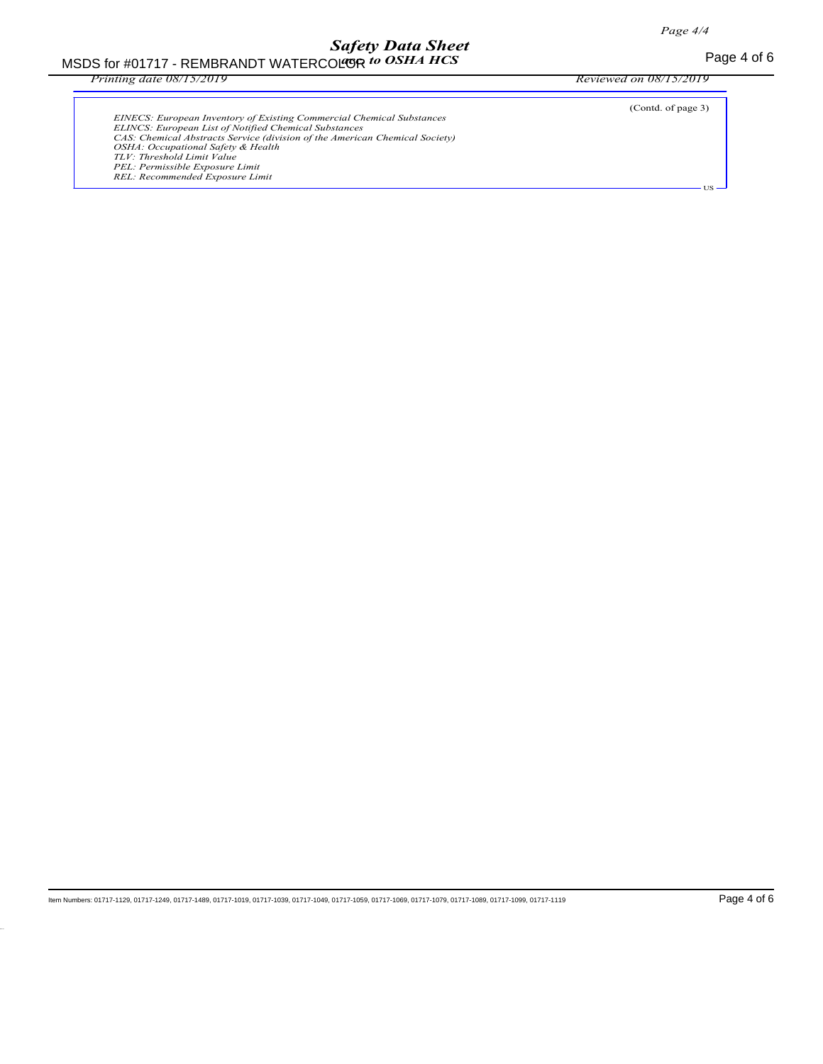# Safety Data Sheet

MSDS for #01717 - REMBRANDT WATERCOLOR to OSHA HCS MEAN SERVICE TO MEAN Page 4 of 6 age to OSHA HCS

Printing date 08/15/2019 Reviewed on 08/15/2019

| <b>EINECS:</b> European Inventory of Existing Commercial Chemical Substances<br>ELINCS: European List of Notified Chemical Substances<br>CAS: Chemical Abstracts Service (division of the American Chemical Society)<br>OSHA: Occupational Safety & Health<br>TLV: Threshold Limit Value<br>PEL: Permissible Exposure Limit<br>REL: Recommended Exposure Limit | (Contd. of page 3) |
|----------------------------------------------------------------------------------------------------------------------------------------------------------------------------------------------------------------------------------------------------------------------------------------------------------------------------------------------------------------|--------------------|
|                                                                                                                                                                                                                                                                                                                                                                |                    |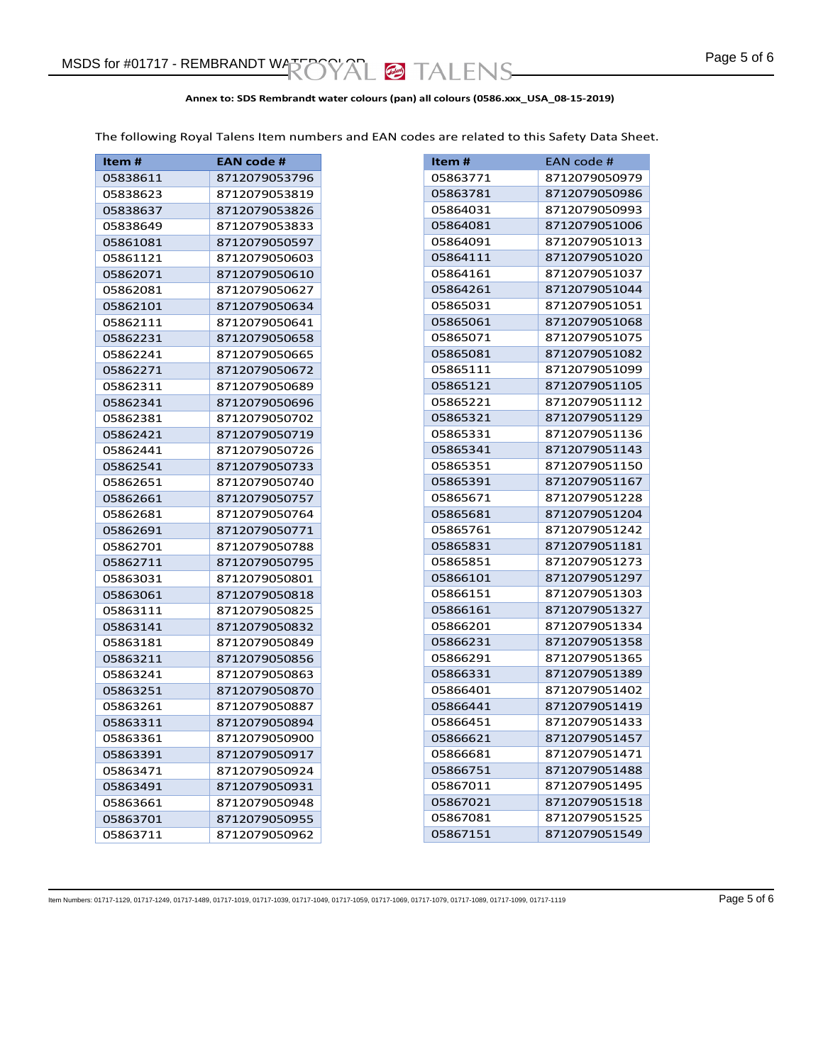### **Annex to: SDS Rembrandt water colours (pan) all colours (0586.xxx\_USA\_08-15-2019)**

The following Royal Talens Item numbers and EAN codes are related to this Safety Data Sheet.

| Item#    | <b>EAN code #</b> |
|----------|-------------------|
| 05838611 | 8712079053796     |
| 05838623 | 8712079053819     |
| 05838637 | 8712079053826     |
| 05838649 | 8712079053833     |
| 05861081 | 8712079050597     |
| 05861121 | 8712079050603     |
| 05862071 | 8712079050610     |
| 05862081 | 8712079050627     |
| 05862101 | 8712079050634     |
| 05862111 | 8712079050641     |
| 05862231 | 8712079050658     |
| 05862241 | 8712079050665     |
| 05862271 | 8712079050672     |
| 05862311 | 8712079050689     |
| 05862341 | 8712079050696     |
| 05862381 | 8712079050702     |
| 05862421 | 8712079050719     |
| 05862441 | 8712079050726     |
| 05862541 | 8712079050733     |
| 05862651 | 8712079050740     |
| 05862661 | 8712079050757     |
| 05862681 | 8712079050764     |
| 05862691 | 8712079050771     |
| 05862701 | 8712079050788     |
| 05862711 | 8712079050795     |
| 05863031 | 8712079050801     |
| 05863061 | 8712079050818     |
| 05863111 | 8712079050825     |
| 05863141 | 8712079050832     |
| 05863181 | 8712079050849     |
| 05863211 | 8712079050856     |
| 05863241 | 8712079050863     |
| 05863251 | 8712079050870     |
| 05863261 | 8712079050887     |
| 05863311 | 8712079050894     |
| 05863361 | 8712079050900     |
| 05863391 | 8712079050917     |
| 05863471 | 8712079050924     |
| 05863491 | 8712079050931     |
| 05863661 | 8712079050948     |
| 05863701 | 8712079050955     |
| 05863711 | 8712079050962     |

| ltem #               | EAN code #    |
|----------------------|---------------|
| 05863771             | 8712079050979 |
| 05863781             | 8712079050986 |
| 05864031             | 8712079050993 |
|                      | 8712079051006 |
| 05864081<br>05864091 | 8712079051013 |
|                      | 8712079051020 |
| 05864111             |               |
| 05864161             | 8712079051037 |
| 05864261             | 8712079051044 |
| 05865031             | 8712079051051 |
| 05865061             | 8712079051068 |
| 05865071             | 8712079051075 |
| 05865081             | 8712079051082 |
| 05865111             | 8712079051099 |
| 05865121             | 8712079051105 |
| 05865221             | 8712079051112 |
| 05865321             | 8712079051129 |
| 05865331             | 8712079051136 |
| 05865341             | 8712079051143 |
| 05865351             | 8712079051150 |
| 05865391             | 8712079051167 |
| 05865671             | 8712079051228 |
| 05865681             | 8712079051204 |
| 05865761             | 8712079051242 |
| 05865831             | 8712079051181 |
| 05865851             | 8712079051273 |
| 05866101             | 8712079051297 |
| 05866151             | 8712079051303 |
| 05866161             | 8712079051327 |
| 05866201             | 8712079051334 |
| 05866231             | 8712079051358 |
| 05866291             | 8712079051365 |
| 05866331             | 8712079051389 |
| 05866401             | 8712079051402 |
| 05866441             | 8712079051419 |
| 05866451             | 8712079051433 |
| 05866621             | 8712079051457 |
| 05866681             | 8712079051471 |
| 05866751             | 8712079051488 |
| 05867011             | 8712079051495 |
| 05867021             | 8712079051518 |
| 05867081             | 8712079051525 |
| 05867151             | 8712079051549 |

ltem Numbers: 01717-1129, 01717-1249, 01717-1489, 01717-1019, 01717-1039, 01717-1049, 01717-1059, 01717-1069, 01717-1079, 01717-1089, 01717-1099, 01717-1119 Page 5 of 6